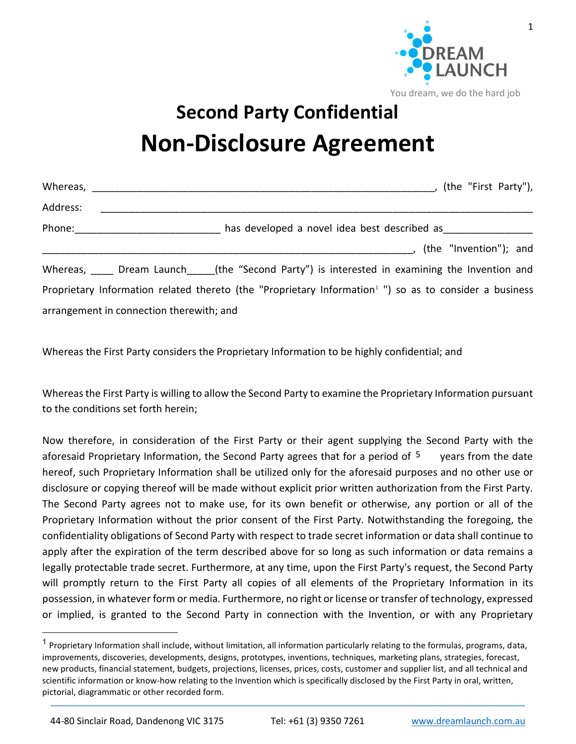

1

You dream, we do the hard job

## **Second Party Confidential Non-Disclosure Agreement**

| Whereas, $\frac{1}{\sqrt{1-\frac{1}{2}}}$ |                                              | (the "First Party"),                                                                                               |  |  |
|-------------------------------------------|----------------------------------------------|--------------------------------------------------------------------------------------------------------------------|--|--|
| Address:                                  |                                              |                                                                                                                    |  |  |
| Phone:                                    | has developed a novel idea best described as |                                                                                                                    |  |  |
|                                           |                                              | (the "Invention"); and                                                                                             |  |  |
|                                           |                                              | Whereas, Dream Launch (the "Second Party") is interested in examining the Invention and                            |  |  |
|                                           |                                              | Proprietary Information related thereto (the "Proprietary Information <sup>1</sup> ") so as to consider a business |  |  |
|                                           | arrangement in connection therewith; and     |                                                                                                                    |  |  |

Whereas the First Party considers the Proprietary Information to be highly confidential; and

Whereas the First Party is willing to allow the Second Party to examine the Proprietary Information pursuant to the conditions set forth herein;

Now therefore, in consideration of the First Party or their agent supplying the Second Party with the aforesaid Proprietary Information, the Second Party agrees that for a period of  $^5$  years from the date hereof, such Proprietary Information shall be utilized only for the aforesaid purposes and no other use or disclosure or copying thereof will be made without explicit prior written authorization from the First Party. The Second Party agrees not to make use, for its own benefit or otherwise, any portion or all of the Proprietary Information without the prior consent of the First Party. Notwithstanding the foregoing, the confidentiality obligations of Second Party with respect to trade secret information or data shall continue to apply after the expiration of the term described above for so long as such information or data remains a legally protectable trade secret. Furthermore, at any time, upon the First Party's request, the Second Party will promptly return to the First Party all copies of all elements of the Proprietary Information in its possession, in whatever form or media. Furthermore, no right or license or transfer of technology, expressed or implied, is granted to the Second Party in connection with the Invention, or with any Proprietary

 $\overline{\phantom{a}}$ 

<sup>&</sup>lt;sup>1</sup> Proprietary Information shall include, without limitation, all information particularly relating to the formulas, programs, data, improvements, discoveries, developments, designs, prototypes, inventions, techniques, marketing plans, strategies, forecast, new products, financial statement, budgets, projections, licenses, prices, costs, customer and supplier list, and all technical and scientific information or know-how relating to the Invention which is specifically disclosed by the First Party in oral, written, pictorial, diagrammatic or other recorded form.